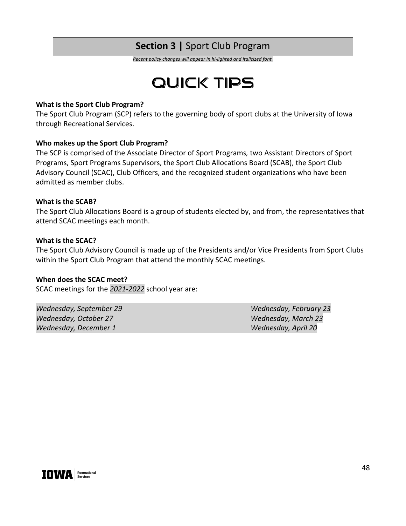# **Section 3 |** Sport Club Program

*Recent policy changes will appear in hi-lighted and italicized font.*

# **QUICK TIPS**

#### **What is the Sport Club Program?**

The Sport Club Program (SCP) refers to the governing body of sport clubs at the University of Iowa through Recreational Services.

# **Who makes up the Sport Club Program?**

The SCP is comprised of the Associate Director of Sport Programs*,* two Assistant Directors of Sport Programs, Sport Programs Supervisors, the Sport Club Allocations Board (SCAB), the Sport Club Advisory Council (SCAC), Club Officers, and the recognized student organizations who have been admitted as member clubs.

#### **What is the SCAB?**

The Sport Club Allocations Board is a group of students elected by, and from, the representatives that attend SCAC meetings each month.

#### **What is the SCAC?**

The Sport Club Advisory Council is made up of the Presidents and/or Vice Presidents from Sport Clubs within the Sport Club Program that attend the monthly SCAC meetings.

#### **When does the SCAC meet?**

SCAC meetings for the *2021-2022* school year are:

*Wednesday, September 29 Wednesday, February 23 Wednesday, October 27 Wednesday, March 23 Wednesday, December 1 Wednesday, April 20*

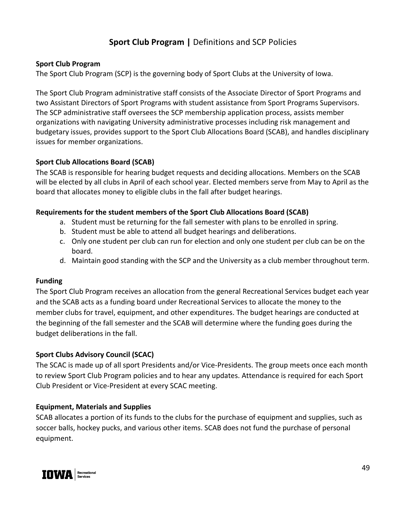# **Sport Club Program |** Definitions and SCP Policies

#### **Sport Club Program**

The Sport Club Program (SCP) is the governing body of Sport Clubs at the University of Iowa.

The Sport Club Program administrative staff consists of the Associate Director of Sport Programs and two Assistant Directors of Sport Programs with student assistance from Sport Programs Supervisors. The SCP administrative staff oversees the SCP membership application process, assists member organizations with navigating University administrative processes including risk management and budgetary issues, provides support to the Sport Club Allocations Board (SCAB), and handles disciplinary issues for member organizations.

# **Sport Club Allocations Board (SCAB)**

The SCAB is responsible for hearing budget requests and deciding allocations. Members on the SCAB will be elected by all clubs in April of each school year. Elected members serve from May to April as the board that allocates money to eligible clubs in the fall after budget hearings.

# **Requirements for the student members of the Sport Club Allocations Board (SCAB)**

- a. Student must be returning for the fall semester with plans to be enrolled in spring.
- b. Student must be able to attend all budget hearings and deliberations.
- c. Only one student per club can run for election and only one student per club can be on the board.
- d. Maintain good standing with the SCP and the University as a club member throughout term.

# **Funding**

The Sport Club Program receives an allocation from the general Recreational Services budget each year and the SCAB acts as a funding board under Recreational Services to allocate the money to the member clubs for travel, equipment, and other expenditures. The budget hearings are conducted at the beginning of the fall semester and the SCAB will determine where the funding goes during the budget deliberations in the fall.

# **Sport Clubs Advisory Council (SCAC)**

The SCAC is made up of all sport Presidents and/or Vice-Presidents. The group meets once each month to review Sport Club Program policies and to hear any updates. Attendance is required for each Sport Club President or Vice-President at every SCAC meeting.

# **Equipment, Materials and Supplies**

SCAB allocates a portion of its funds to the clubs for the purchase of equipment and supplies, such as soccer balls, hockey pucks, and various other items. SCAB does not fund the purchase of personal equipment.